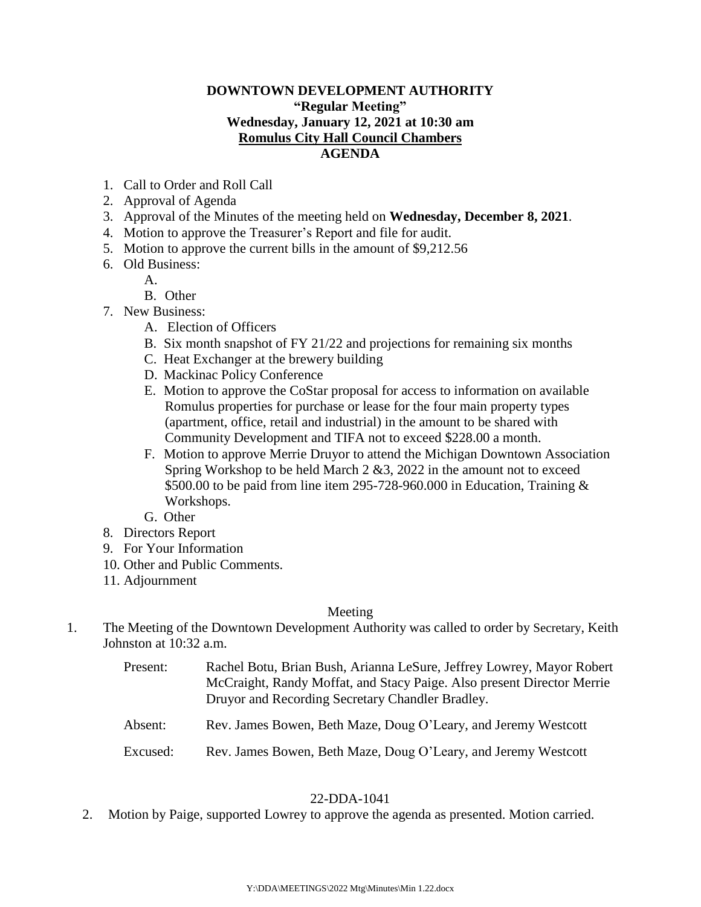## **DOWNTOWN DEVELOPMENT AUTHORITY "Regular Meeting" Wednesday, January 12, 2021 at 10:30 am Romulus City Hall Council Chambers AGENDA**

- 1. Call to Order and Roll Call
- 2. Approval of Agenda
- 3. Approval of the Minutes of the meeting held on **Wednesday, December 8, 2021**.
- 4. Motion to approve the Treasurer's Report and file for audit.
- 5. Motion to approve the current bills in the amount of \$9,212.56
- 6. Old Business:
	- A.
	- B. Other
- 7. New Business:
	- A. Election of Officers
	- B. Six month snapshot of FY 21/22 and projections for remaining six months
	- C. Heat Exchanger at the brewery building
	- D. Mackinac Policy Conference
	- E. Motion to approve the CoStar proposal for access to information on available Romulus properties for purchase or lease for the four main property types (apartment, office, retail and industrial) in the amount to be shared with Community Development and TIFA not to exceed \$228.00 a month.
	- F. Motion to approve Merrie Druyor to attend the Michigan Downtown Association Spring Workshop to be held March 2 &3, 2022 in the amount not to exceed \$500.00 to be paid from line item 295-728-960.000 in Education, Training  $\&$ Workshops.
	- G. Other
- 8. Directors Report
- 9. For Your Information
- 10. Other and Public Comments.
- 11. Adjournment

# Meeting

- 1. The Meeting of the Downtown Development Authority was called to order by Secretary, Keith Johnston at 10:32 a.m.
	- Present: Rachel Botu, Brian Bush, Arianna LeSure, Jeffrey Lowrey, Mayor Robert McCraight, Randy Moffat, and Stacy Paige. Also present Director Merrie Druyor and Recording Secretary Chandler Bradley.
	- Absent: Rev. James Bowen, Beth Maze, Doug O'Leary, and Jeremy Westcott
	- Excused: Rev. James Bowen, Beth Maze, Doug O'Leary, and Jeremy Westcott

# 22-DDA-1041

2. Motion by Paige, supported Lowrey to approve the agenda as presented. Motion carried.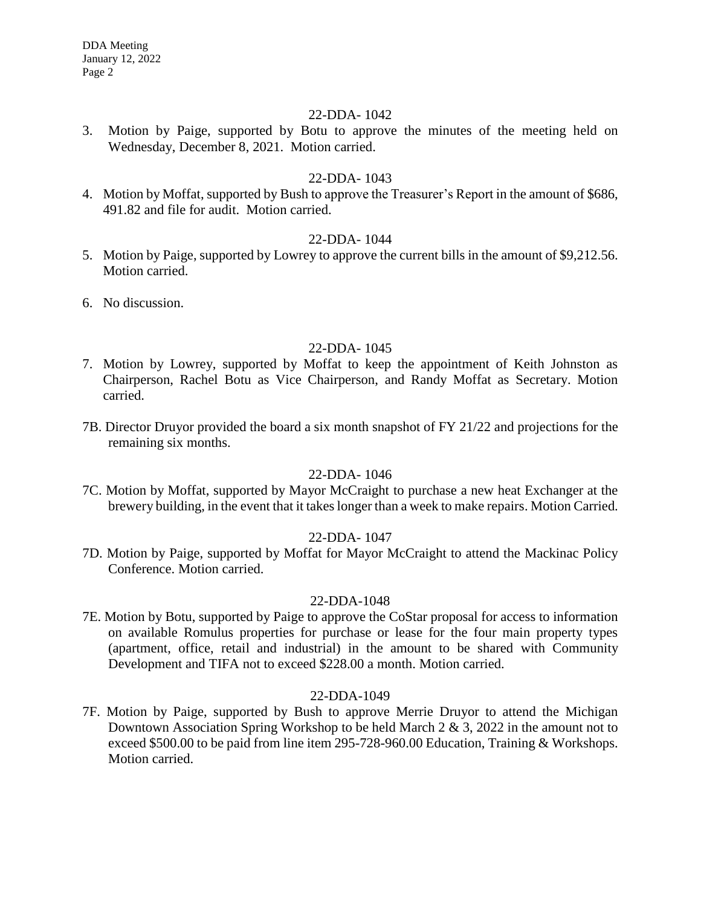## 22-DDA- 1042

3. Motion by Paige, supported by Botu to approve the minutes of the meeting held on Wednesday, December 8, 2021. Motion carried.

## 22-DDA- 1043

4. Motion by Moffat, supported by Bush to approve the Treasurer's Report in the amount of \$686, 491.82 and file for audit. Motion carried.

## 22-DDA- 1044

- 5. Motion by Paige, supported by Lowrey to approve the current bills in the amount of \$9,212.56. Motion carried.
- 6. No discussion.

### 22-DDA- 1045

- 7. Motion by Lowrey, supported by Moffat to keep the appointment of Keith Johnston as Chairperson, Rachel Botu as Vice Chairperson, and Randy Moffat as Secretary. Motion carried.
- 7B. Director Druyor provided the board a six month snapshot of FY 21/22 and projections for the remaining six months.

#### 22-DDA- 1046

7C. Motion by Moffat, supported by Mayor McCraight to purchase a new heat Exchanger at the brewery building, in the event that it takes longer than a week to make repairs. Motion Carried.

## 22-DDA- 1047

7D. Motion by Paige, supported by Moffat for Mayor McCraight to attend the Mackinac Policy Conference. Motion carried.

#### 22-DDA-1048

7E. Motion by Botu, supported by Paige to approve the CoStar proposal for access to information on available Romulus properties for purchase or lease for the four main property types (apartment, office, retail and industrial) in the amount to be shared with Community Development and TIFA not to exceed \$228.00 a month. Motion carried.

#### 22-DDA-1049

7F. Motion by Paige, supported by Bush to approve Merrie Druyor to attend the Michigan Downtown Association Spring Workshop to be held March 2 & 3, 2022 in the amount not to exceed \$500.00 to be paid from line item 295-728-960.00 Education, Training & Workshops. Motion carried.